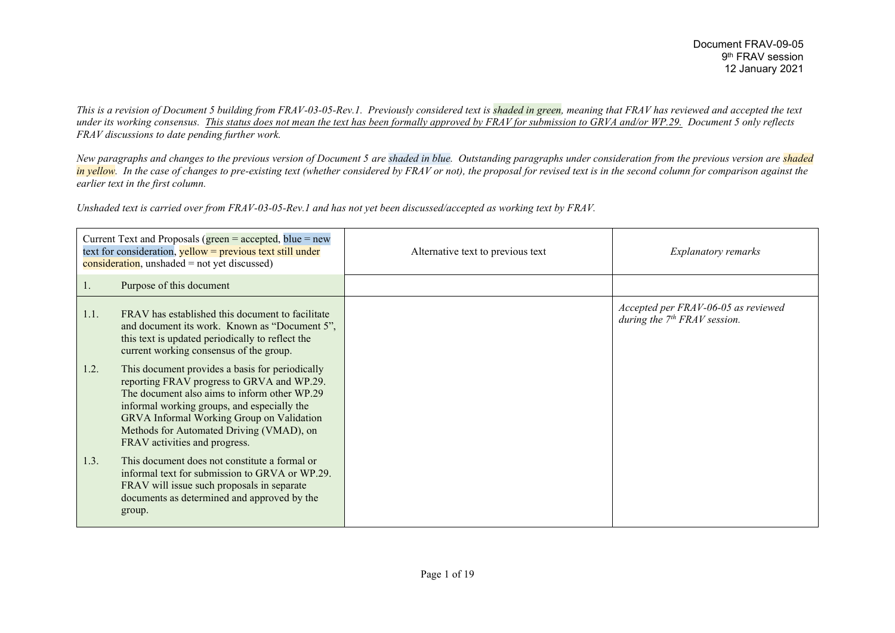*This is a revision of Document 5 building from FRAV-03-05-Rev.1. Previously considered text is shaded in green, meaning that FRAV has reviewed and accepted the text under its working consensus. This status does not mean the text has been formally approved by FRAV for submission to GRVA and/or WP.29. Document 5 only reflects FRAV discussions to date pending further work.*

*New paragraphs and changes to the previous version of Document 5 are shaded in blue. Outstanding paragraphs under consideration from the previous version are shaded in yellow*. In the case of changes to pre-existing text (whether considered by FRAV or not), the proposal for revised text is in the second column for comparison against the *earlier text in the first column.*

*Unshaded text is carried over from FRAV-03-05-Rev.1 and has not yet been discussed/accepted as working text by FRAV.*

| Current Text and Proposals ( $green = accepted$ , blue = new<br>text for consideration, yellow = previous text still under<br>$\overline{\text{consideration}}$ , unshaded = not yet discussed) |                                                                                                                                                                                                                                                                                                                        | Alternative text to previous text | <b>Explanatory remarks</b>                                            |
|-------------------------------------------------------------------------------------------------------------------------------------------------------------------------------------------------|------------------------------------------------------------------------------------------------------------------------------------------------------------------------------------------------------------------------------------------------------------------------------------------------------------------------|-----------------------------------|-----------------------------------------------------------------------|
| 1.                                                                                                                                                                                              | Purpose of this document                                                                                                                                                                                                                                                                                               |                                   |                                                                       |
| 1.1.                                                                                                                                                                                            | FRAV has established this document to facilitate<br>and document its work. Known as "Document 5",<br>this text is updated periodically to reflect the<br>current working consensus of the group.                                                                                                                       |                                   | Accepted per FRAV-06-05 as reviewed<br>during the $7th FRAV$ session. |
| 1.2.                                                                                                                                                                                            | This document provides a basis for periodically<br>reporting FRAV progress to GRVA and WP.29.<br>The document also aims to inform other WP.29<br>informal working groups, and especially the<br>GRVA Informal Working Group on Validation<br>Methods for Automated Driving (VMAD), on<br>FRAV activities and progress. |                                   |                                                                       |
| 1.3.                                                                                                                                                                                            | This document does not constitute a formal or<br>informal text for submission to GRVA or WP.29.<br>FRAV will issue such proposals in separate<br>documents as determined and approved by the<br>group.                                                                                                                 |                                   |                                                                       |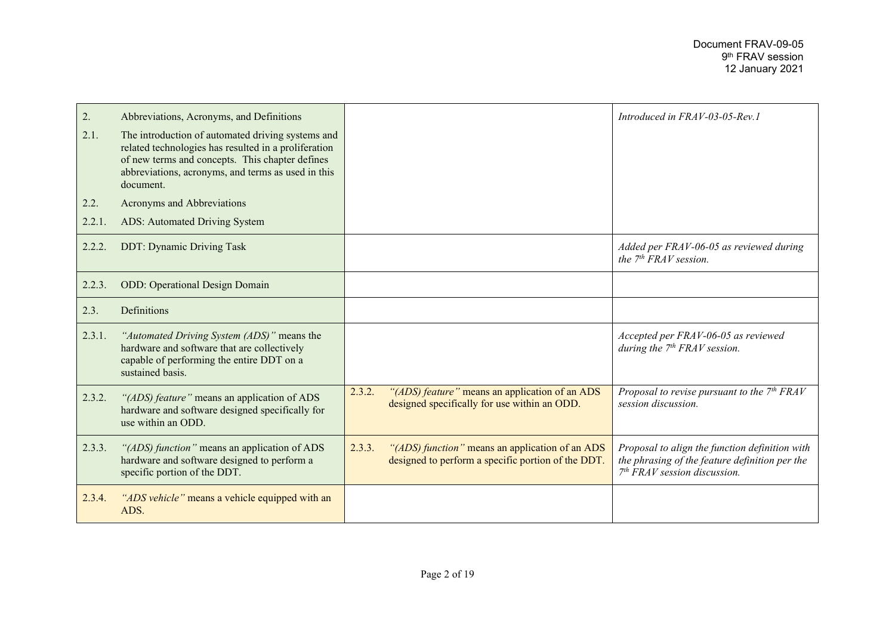| 2.     | Abbreviations, Acronyms, and Definitions                                                                                                                                                                                        |        |                                                                                                       | Introduced in FRAV-03-05-Rev.1                                                                                                     |
|--------|---------------------------------------------------------------------------------------------------------------------------------------------------------------------------------------------------------------------------------|--------|-------------------------------------------------------------------------------------------------------|------------------------------------------------------------------------------------------------------------------------------------|
| 2.1.   | The introduction of automated driving systems and<br>related technologies has resulted in a proliferation<br>of new terms and concepts. This chapter defines<br>abbreviations, acronyms, and terms as used in this<br>document. |        |                                                                                                       |                                                                                                                                    |
| 2.2.   | Acronyms and Abbreviations                                                                                                                                                                                                      |        |                                                                                                       |                                                                                                                                    |
| 2.2.1. | ADS: Automated Driving System                                                                                                                                                                                                   |        |                                                                                                       |                                                                                                                                    |
| 2.2.2. | <b>DDT: Dynamic Driving Task</b>                                                                                                                                                                                                |        |                                                                                                       | Added per FRAV-06-05 as reviewed during<br>the $7th FRAV$ session.                                                                 |
| 2.2.3. | <b>ODD:</b> Operational Design Domain                                                                                                                                                                                           |        |                                                                                                       |                                                                                                                                    |
| 2.3.   | Definitions                                                                                                                                                                                                                     |        |                                                                                                       |                                                                                                                                    |
| 2.3.1. | "Automated Driving System (ADS)" means the<br>hardware and software that are collectively<br>capable of performing the entire DDT on a<br>sustained basis.                                                                      |        |                                                                                                       | Accepted per FRAV-06-05 as reviewed<br>during the $7th FRAV$ session.                                                              |
| 2.3.2. | "(ADS) feature" means an application of ADS<br>hardware and software designed specifically for<br>use within an ODD.                                                                                                            | 2.3.2. | "(ADS) feature" means an application of an ADS<br>designed specifically for use within an ODD.        | Proposal to revise pursuant to the $7th FRAV$<br>session discussion.                                                               |
| 2.3.3. | "(ADS) function" means an application of ADS<br>hardware and software designed to perform a<br>specific portion of the DDT.                                                                                                     | 2.3.3. | "(ADS) function" means an application of an ADS<br>designed to perform a specific portion of the DDT. | Proposal to align the function definition with<br>the phrasing of the feature definition per the<br>$7th FRAV session discussion.$ |
| 2.3.4. | "ADS vehicle" means a vehicle equipped with an<br>ADS.                                                                                                                                                                          |        |                                                                                                       |                                                                                                                                    |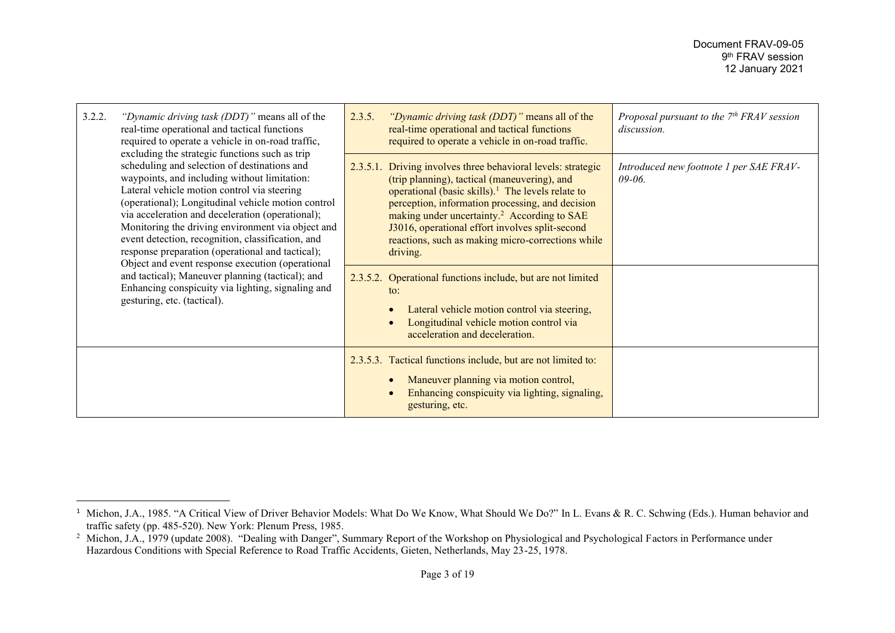| 3.2.2.<br>"Dynamic driving task (DDT)" means all of the<br>real-time operational and tactical functions<br>required to operate a vehicle in on-road traffic,<br>excluding the strategic functions such as trip                                                                                                                                                                                                                                                                                                                                                                                                  | 2.3.5. | "Dynamic driving task (DDT)" means all of the<br>real-time operational and tactical functions<br>required to operate a vehicle in on-road traffic.                                                                                                                                                                                                                                                                                                                                                                                                                                                                  | Proposal pursuant to the $7th FRAV$ session<br>discussion. |
|-----------------------------------------------------------------------------------------------------------------------------------------------------------------------------------------------------------------------------------------------------------------------------------------------------------------------------------------------------------------------------------------------------------------------------------------------------------------------------------------------------------------------------------------------------------------------------------------------------------------|--------|---------------------------------------------------------------------------------------------------------------------------------------------------------------------------------------------------------------------------------------------------------------------------------------------------------------------------------------------------------------------------------------------------------------------------------------------------------------------------------------------------------------------------------------------------------------------------------------------------------------------|------------------------------------------------------------|
| scheduling and selection of destinations and<br>waypoints, and including without limitation:<br>Lateral vehicle motion control via steering<br>(operational); Longitudinal vehicle motion control<br>via acceleration and deceleration (operational);<br>Monitoring the driving environment via object and<br>event detection, recognition, classification, and<br>response preparation (operational and tactical);<br>Object and event response execution (operational<br>and tactical); Maneuver planning (tactical); and<br>Enhancing conspicuity via lighting, signaling and<br>gesturing, etc. (tactical). |        | 2.3.5.1. Driving involves three behavioral levels: strategic<br>(trip planning), tactical (maneuvering), and<br>operational (basic skills). <sup>1</sup> The levels relate to<br>perception, information processing, and decision<br>making under uncertainty. <sup>2</sup> According to SAE<br>J3016, operational effort involves split-second<br>reactions, such as making micro-corrections while<br>driving.<br>2.3.5.2. Operational functions include, but are not limited<br>to:<br>Lateral vehicle motion control via steering,<br>Longitudinal vehicle motion control via<br>acceleration and deceleration. | Introduced new footnote 1 per SAE FRAV-<br>$09 - 06$ .     |
|                                                                                                                                                                                                                                                                                                                                                                                                                                                                                                                                                                                                                 |        | 2.3.5.3. Tactical functions include, but are not limited to:<br>Maneuver planning via motion control,<br>Enhancing conspicuity via lighting, signaling,<br>gesturing, etc.                                                                                                                                                                                                                                                                                                                                                                                                                                          |                                                            |

<sup>&</sup>lt;sup>1</sup> Michon, J.A., 1985. "A Critical View of Driver Behavior Models: What Do We Know, What Should We Do?" In L. Evans & R. C. Schwing (Eds.). Human behavior and traffic safety (pp. 485-520). New York: Plenum Press, 1985.

<sup>&</sup>lt;sup>2</sup> Michon, J.A., 1979 (update 2008). "Dealing with Danger", Summary Report of the Workshop on Physiological and Psychological Factors in Performance under Hazardous Conditions with Special Reference to Road Traffic Accidents, Gieten, Netherlands, May 23-25, 1978.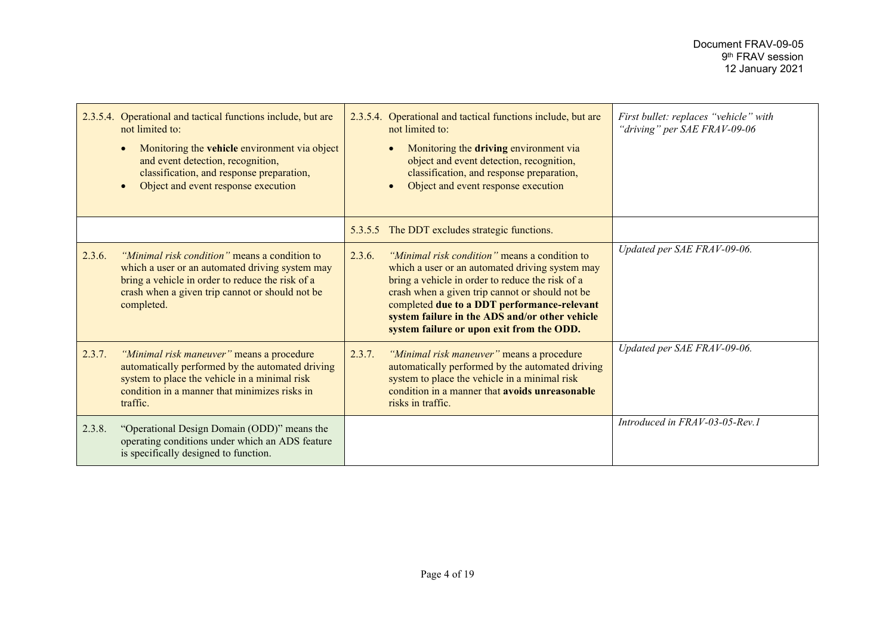|        | 2.3.5.4. Operational and tactical functions include, but are<br>not limited to:<br>Monitoring the vehicle environment via object<br>and event detection, recognition,<br>classification, and response preparation,<br>Object and event response execution |        | 2.3.5.4. Operational and tactical functions include, but are<br>not limited to:<br>Monitoring the driving environment via<br>object and event detection, recognition,<br>classification, and response preparation,<br>Object and event response execution                                                                                             | First bullet: replaces "vehicle" with<br>"driving" per SAE FRAV-09-06 |
|--------|-----------------------------------------------------------------------------------------------------------------------------------------------------------------------------------------------------------------------------------------------------------|--------|-------------------------------------------------------------------------------------------------------------------------------------------------------------------------------------------------------------------------------------------------------------------------------------------------------------------------------------------------------|-----------------------------------------------------------------------|
|        |                                                                                                                                                                                                                                                           |        | 5.3.5.5 The DDT excludes strategic functions.                                                                                                                                                                                                                                                                                                         |                                                                       |
| 2.3.6. | "Minimal risk condition" means a condition to<br>which a user or an automated driving system may<br>bring a vehicle in order to reduce the risk of a<br>crash when a given trip cannot or should not be<br>completed.                                     | 2.3.6. | "Minimal risk condition" means a condition to<br>which a user or an automated driving system may<br>bring a vehicle in order to reduce the risk of a<br>crash when a given trip cannot or should not be<br>completed due to a DDT performance-relevant<br>system failure in the ADS and/or other vehicle<br>system failure or upon exit from the ODD. | Updated per SAE FRAV-09-06.                                           |
| 2.3.7. | "Minimal risk maneuver" means a procedure<br>automatically performed by the automated driving<br>system to place the vehicle in a minimal risk<br>condition in a manner that minimizes risks in<br>traffic.                                               | 2.3.7. | "Minimal risk maneuver" means a procedure<br>automatically performed by the automated driving<br>system to place the vehicle in a minimal risk<br>condition in a manner that avoids unreasonable<br>risks in traffic.                                                                                                                                 | Updated per SAE FRAV-09-06.                                           |
| 2.3.8. | "Operational Design Domain (ODD)" means the<br>operating conditions under which an ADS feature<br>is specifically designed to function.                                                                                                                   |        |                                                                                                                                                                                                                                                                                                                                                       | Introduced in FRAV-03-05-Rev.1                                        |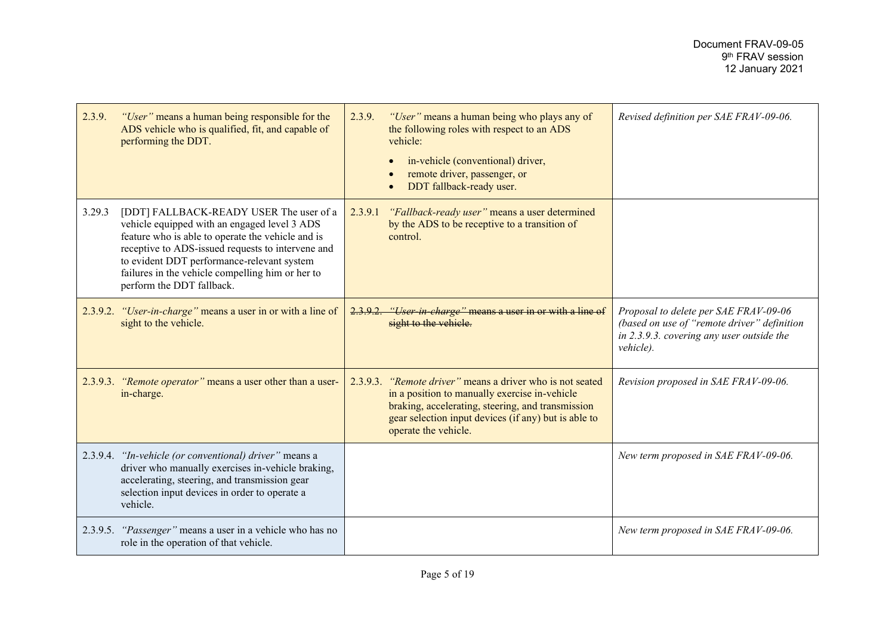| 2.3.9. | "User" means a human being responsible for the<br>ADS vehicle who is qualified, fit, and capable of<br>performing the DDT.                                                                                                                                                                                                       | 2.3.9.  | "User" means a human being who plays any of<br>the following roles with respect to an ADS<br>vehicle:<br>in-vehicle (conventional) driver,<br>remote driver, passenger, or<br>DDT fallback-ready user.                                          | Revised definition per SAE FRAV-09-06.                                                                                                         |
|--------|----------------------------------------------------------------------------------------------------------------------------------------------------------------------------------------------------------------------------------------------------------------------------------------------------------------------------------|---------|-------------------------------------------------------------------------------------------------------------------------------------------------------------------------------------------------------------------------------------------------|------------------------------------------------------------------------------------------------------------------------------------------------|
| 3.29.3 | [DDT] FALLBACK-READY USER The user of a<br>vehicle equipped with an engaged level 3 ADS<br>feature who is able to operate the vehicle and is<br>receptive to ADS-issued requests to intervene and<br>to evident DDT performance-relevant system<br>failures in the vehicle compelling him or her to<br>perform the DDT fallback. | 2.3.9.1 | "Fallback-ready user" means a user determined<br>by the ADS to be receptive to a transition of<br>control.                                                                                                                                      |                                                                                                                                                |
|        | 2.3.9.2. "User-in-charge" means a user in or with a line of<br>sight to the vehicle.                                                                                                                                                                                                                                             | 2.3.9.2 | <i>"User in charge"</i> means a user in or with a line of<br>sight to the vehicle.                                                                                                                                                              | Proposal to delete per SAE FRAV-09-06<br>(based on use of "remote driver" definition<br>in 2.3.9.3. covering any user outside the<br>vehicle). |
|        | 2.3.9.3. "Remote operator" means a user other than a user-<br>in-charge.                                                                                                                                                                                                                                                         |         | 2.3.9.3. "Remote driver" means a driver who is not seated<br>in a position to manually exercise in-vehicle<br>braking, accelerating, steering, and transmission<br>gear selection input devices (if any) but is able to<br>operate the vehicle. | Revision proposed in SAE FRAV-09-06.                                                                                                           |
|        | 2.3.9.4. "In-vehicle (or conventional) driver" means a<br>driver who manually exercises in-vehicle braking,<br>accelerating, steering, and transmission gear<br>selection input devices in order to operate a<br>vehicle.                                                                                                        |         |                                                                                                                                                                                                                                                 | New term proposed in SAE FRAV-09-06.                                                                                                           |
|        | 2.3.9.5. "Passenger" means a user in a vehicle who has no<br>role in the operation of that vehicle.                                                                                                                                                                                                                              |         |                                                                                                                                                                                                                                                 | New term proposed in SAE FRAV-09-06.                                                                                                           |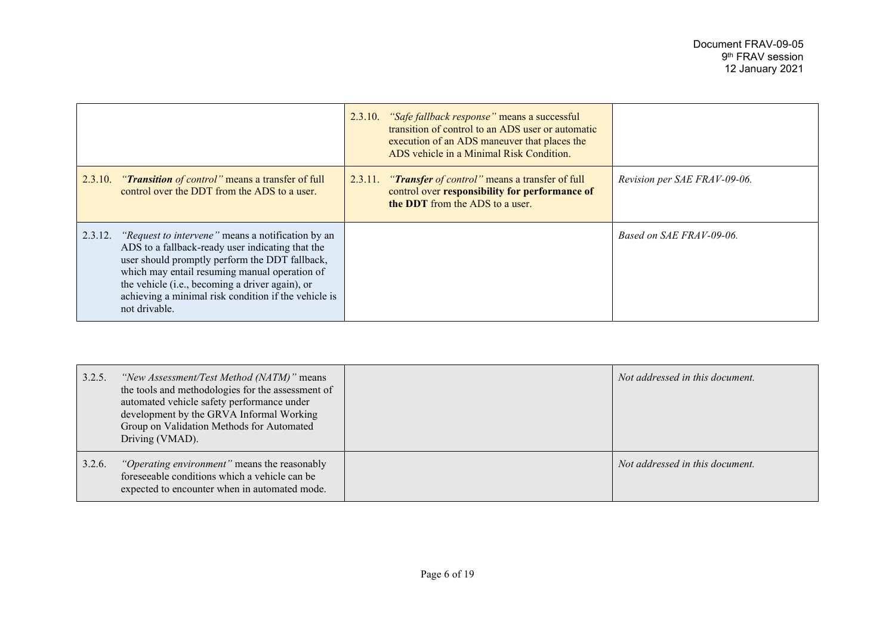|         |                                                                                                                                                                                                                                                                                                                                             | 2.3.10. "Safe fallback response" means a successful<br>transition of control to an ADS user or automatic<br>execution of an ADS maneuver that places the<br>ADS vehicle in a Minimal Risk Condition. |                              |
|---------|---------------------------------------------------------------------------------------------------------------------------------------------------------------------------------------------------------------------------------------------------------------------------------------------------------------------------------------------|------------------------------------------------------------------------------------------------------------------------------------------------------------------------------------------------------|------------------------------|
|         | 2.3.10. " <b>Transition</b> of control" means a transfer of full<br>control over the DDT from the ADS to a user.                                                                                                                                                                                                                            | 2.3.11. " <b>Transfer</b> of control" means a transfer of full<br>control over responsibility for performance of<br><b>the DDT</b> from the ADS to a user.                                           | Revision per SAE FRAV-09-06. |
| 2.3.12. | <i>"Request to intervene"</i> means a notification by an<br>ADS to a fallback-ready user indicating that the<br>user should promptly perform the DDT fallback,<br>which may entail resuming manual operation of<br>the vehicle (i.e., becoming a driver again), or<br>achieving a minimal risk condition if the vehicle is<br>not drivable. |                                                                                                                                                                                                      | Based on SAE FRAV-09-06.     |

| 3.2.5. | "New Assessment/Test Method (NATM)" means<br>the tools and methodologies for the assessment of<br>automated vehicle safety performance under<br>development by the GRVA Informal Working<br>Group on Validation Methods for Automated<br>Driving (VMAD). | Not addressed in this document. |
|--------|----------------------------------------------------------------------------------------------------------------------------------------------------------------------------------------------------------------------------------------------------------|---------------------------------|
| 3.2.6. | <i>"Operating environment"</i> means the reasonably<br>foreseeable conditions which a vehicle can be<br>expected to encounter when in automated mode.                                                                                                    | Not addressed in this document. |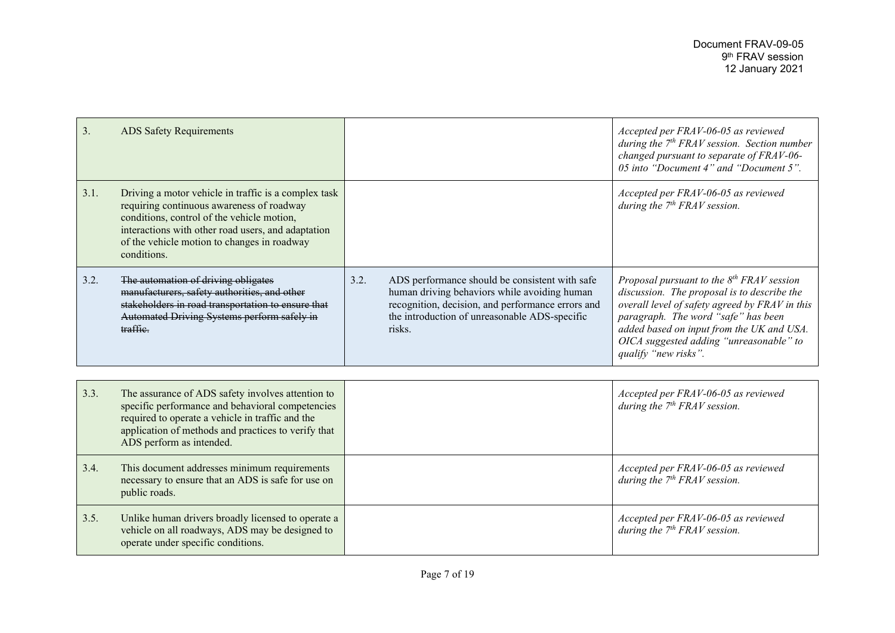| 3.   | <b>ADS Safety Requirements</b>                                                                                                                                                                                                                                      |      |                                                                                                                                                                                                                | Accepted per FRAV-06-05 as reviewed<br>during the $7th FRAVsession. Section number$<br>changed pursuant to separate of FRAV-06-<br>05 into "Document 4" and "Document 5".                                                                                                                           |
|------|---------------------------------------------------------------------------------------------------------------------------------------------------------------------------------------------------------------------------------------------------------------------|------|----------------------------------------------------------------------------------------------------------------------------------------------------------------------------------------------------------------|-----------------------------------------------------------------------------------------------------------------------------------------------------------------------------------------------------------------------------------------------------------------------------------------------------|
| 3.1. | Driving a motor vehicle in traffic is a complex task<br>requiring continuous awareness of roadway<br>conditions, control of the vehicle motion,<br>interactions with other road users, and adaptation<br>of the vehicle motion to changes in roadway<br>conditions. |      |                                                                                                                                                                                                                | Accepted per FRAV-06-05 as reviewed<br>during the $7th FRAV$ session.                                                                                                                                                                                                                               |
| 3.2. | The automation of driving obligates<br>manufacturers, safety authorities, and other<br>stakeholders in road transportation to ensure that<br>Automated Driving Systems perform safely in<br>traffic.                                                                | 3.2. | ADS performance should be consistent with safe<br>human driving behaviors while avoiding human<br>recognition, decision, and performance errors and<br>the introduction of unreasonable ADS-specific<br>risks. | Proposal pursuant to the $8th FRAV$ session<br>discussion. The proposal is to describe the<br>overall level of safety agreed by FRAV in this<br>paragraph. The word "safe" has been<br>added based on input from the UK and USA.<br>OICA suggested adding "unreasonable" to<br>qualify "new risks". |
|      |                                                                                                                                                                                                                                                                     |      |                                                                                                                                                                                                                |                                                                                                                                                                                                                                                                                                     |
| 3.3. | The assurance of ADS safety involves attention to<br>specific performance and behavioral competencies<br>required to operate a vehicle in traffic and the<br>application of methods and practices to verify that<br>ADS perform as intended.                        |      |                                                                                                                                                                                                                | Accepted per FRAV-06-05 as reviewed<br>during the $7th FRAV$ session.                                                                                                                                                                                                                               |
| 3.4. | This document addresses minimum requirements<br>necessary to ensure that an ADS is safe for use on<br>public roads.                                                                                                                                                 |      |                                                                                                                                                                                                                | Accepted per FRAV-06-05 as reviewed<br>during the $7th FRAV$ session.                                                                                                                                                                                                                               |
| 3.5. | Unlike human drivers broadly licensed to operate a<br>vehicle on all roadways, ADS may be designed to<br>operate under specific conditions.                                                                                                                         |      |                                                                                                                                                                                                                | Accepted per FRAV-06-05 as reviewed<br>during the $7th FRAV$ session.                                                                                                                                                                                                                               |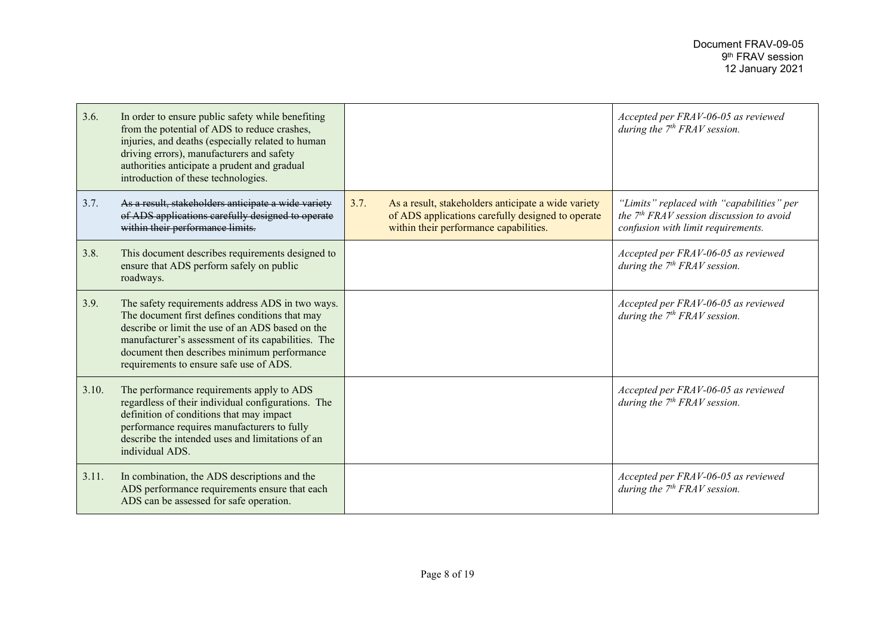| 3.6.  | In order to ensure public safety while benefiting<br>from the potential of ADS to reduce crashes,<br>injuries, and deaths (especially related to human<br>driving errors), manufacturers and safety<br>authorities anticipate a prudent and gradual<br>introduction of these technologies.             |      |                                                                                                                                                    | Accepted per FRAV-06-05 as reviewed<br>during the $7th FRAV$ session.                                                                   |
|-------|--------------------------------------------------------------------------------------------------------------------------------------------------------------------------------------------------------------------------------------------------------------------------------------------------------|------|----------------------------------------------------------------------------------------------------------------------------------------------------|-----------------------------------------------------------------------------------------------------------------------------------------|
| 3.7.  | As a result, stakeholders anticipate a wide variety<br>of ADS applications carefully designed to operate<br>within their performance limits.                                                                                                                                                           | 3.7. | As a result, stakeholders anticipate a wide variety<br>of ADS applications carefully designed to operate<br>within their performance capabilities. | "Limits" replaced with "capabilities" per<br>the 7 <sup>th</sup> FRAV session discussion to avoid<br>confusion with limit requirements. |
| 3.8.  | This document describes requirements designed to<br>ensure that ADS perform safely on public<br>roadways.                                                                                                                                                                                              |      |                                                                                                                                                    | Accepted per FRAV-06-05 as reviewed<br>during the $7th FRAV$ session.                                                                   |
| 3.9.  | The safety requirements address ADS in two ways.<br>The document first defines conditions that may<br>describe or limit the use of an ADS based on the<br>manufacturer's assessment of its capabilities. The<br>document then describes minimum performance<br>requirements to ensure safe use of ADS. |      |                                                                                                                                                    | Accepted per FRAV-06-05 as reviewed<br>during the $7th FRAV$ session.                                                                   |
| 3.10. | The performance requirements apply to ADS<br>regardless of their individual configurations. The<br>definition of conditions that may impact<br>performance requires manufacturers to fully<br>describe the intended uses and limitations of an<br>individual ADS.                                      |      |                                                                                                                                                    | Accepted per FRAV-06-05 as reviewed<br>during the $7th FRAV$ session.                                                                   |
| 3.11. | In combination, the ADS descriptions and the<br>ADS performance requirements ensure that each<br>ADS can be assessed for safe operation.                                                                                                                                                               |      |                                                                                                                                                    | Accepted per FRAV-06-05 as reviewed<br>during the $7th FRAV$ session.                                                                   |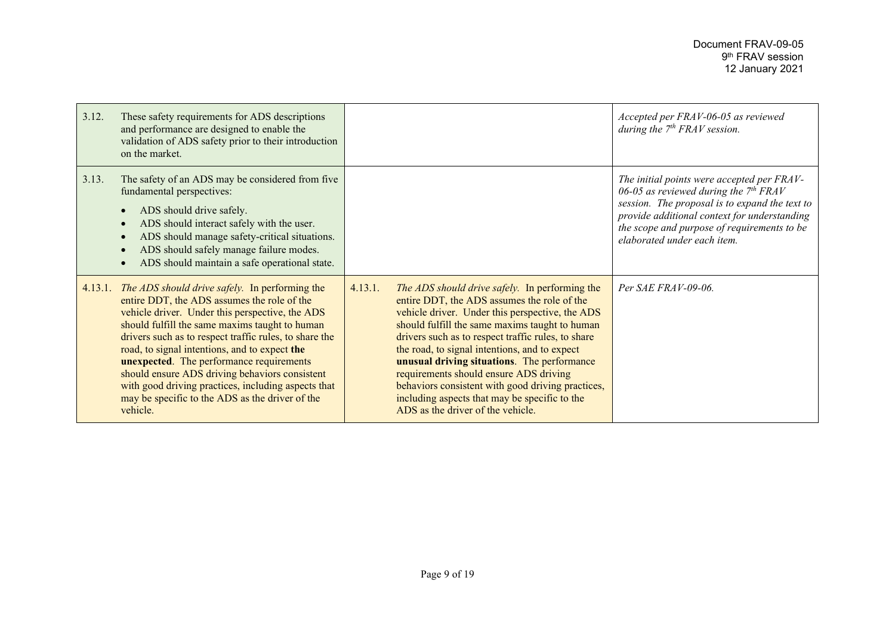| 3.12. | These safety requirements for ADS descriptions<br>and performance are designed to enable the<br>validation of ADS safety prior to their introduction<br>on the market.                                                                                                                                                                                                                                                                                                                                                                           |         |                                                                                                                                                                                                                                                                                                                                                                                                                                                                                                                                               | Accepted per FRAV-06-05 as reviewed<br>during the $7th FRAV$ session.                                                                                                                                                                                                 |
|-------|--------------------------------------------------------------------------------------------------------------------------------------------------------------------------------------------------------------------------------------------------------------------------------------------------------------------------------------------------------------------------------------------------------------------------------------------------------------------------------------------------------------------------------------------------|---------|-----------------------------------------------------------------------------------------------------------------------------------------------------------------------------------------------------------------------------------------------------------------------------------------------------------------------------------------------------------------------------------------------------------------------------------------------------------------------------------------------------------------------------------------------|-----------------------------------------------------------------------------------------------------------------------------------------------------------------------------------------------------------------------------------------------------------------------|
| 3.13. | The safety of an ADS may be considered from five<br>fundamental perspectives:<br>ADS should drive safely.<br>ADS should interact safely with the user.<br>ADS should manage safety-critical situations.<br>ADS should safely manage failure modes.<br>ADS should maintain a safe operational state.                                                                                                                                                                                                                                              |         |                                                                                                                                                                                                                                                                                                                                                                                                                                                                                                                                               | The initial points were accepted per FRAV-<br>06-05 as reviewed during the $7th FRAV$<br>session. The proposal is to expand the text to<br>provide additional context for understanding<br>the scope and purpose of requirements to be<br>elaborated under each item. |
|       | 4.13.1. The ADS should drive safely. In performing the<br>entire DDT, the ADS assumes the role of the<br>vehicle driver. Under this perspective, the ADS<br>should fulfill the same maxims taught to human<br>drivers such as to respect traffic rules, to share the<br>road, to signal intentions, and to expect the<br><b>unexpected.</b> The performance requirements<br>should ensure ADS driving behaviors consistent<br>with good driving practices, including aspects that<br>may be specific to the ADS as the driver of the<br>vehicle. | 4.13.1. | The ADS should drive safely. In performing the<br>entire DDT, the ADS assumes the role of the<br>vehicle driver. Under this perspective, the ADS<br>should fulfill the same maxims taught to human<br>drivers such as to respect traffic rules, to share<br>the road, to signal intentions, and to expect<br>unusual driving situations. The performance<br>requirements should ensure ADS driving<br>behaviors consistent with good driving practices,<br>including aspects that may be specific to the<br>ADS as the driver of the vehicle. | Per SAE FRAV-09-06.                                                                                                                                                                                                                                                   |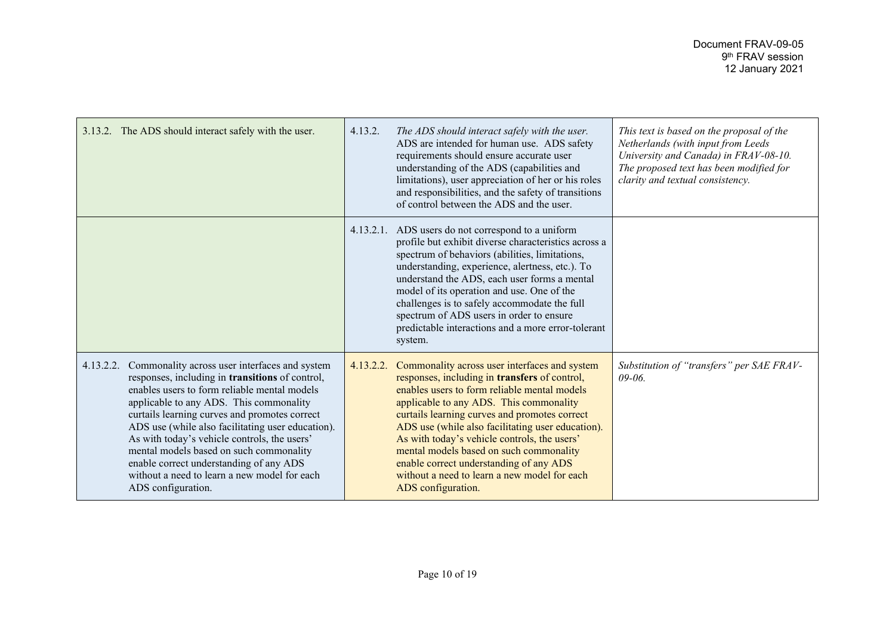| 3.13.2. The ADS should interact safely with the user.                                                                                                                                                                                                                                                                                                                                                                                                                                                                             | 4.13.2.   | The ADS should interact safely with the user.<br>ADS are intended for human use. ADS safety<br>requirements should ensure accurate user<br>understanding of the ADS (capabilities and<br>limitations), user appreciation of her or his roles<br>and responsibilities, and the safety of transitions<br>of control between the ADS and the user.                                                                                                                                                             | This text is based on the proposal of the<br>Netherlands (with input from Leeds<br>University and Canada) in FRAV-08-10.<br>The proposed text has been modified for<br>clarity and textual consistency. |
|-----------------------------------------------------------------------------------------------------------------------------------------------------------------------------------------------------------------------------------------------------------------------------------------------------------------------------------------------------------------------------------------------------------------------------------------------------------------------------------------------------------------------------------|-----------|-------------------------------------------------------------------------------------------------------------------------------------------------------------------------------------------------------------------------------------------------------------------------------------------------------------------------------------------------------------------------------------------------------------------------------------------------------------------------------------------------------------|---------------------------------------------------------------------------------------------------------------------------------------------------------------------------------------------------------|
|                                                                                                                                                                                                                                                                                                                                                                                                                                                                                                                                   |           | 4.13.2.1. ADS users do not correspond to a uniform<br>profile but exhibit diverse characteristics across a<br>spectrum of behaviors (abilities, limitations,<br>understanding, experience, alertness, etc.). To<br>understand the ADS, each user forms a mental<br>model of its operation and use. One of the<br>challenges is to safely accommodate the full<br>spectrum of ADS users in order to ensure<br>predictable interactions and a more error-tolerant<br>system.                                  |                                                                                                                                                                                                         |
| 4.13.2.2.<br>Commonality across user interfaces and system<br>responses, including in <b>transitions</b> of control,<br>enables users to form reliable mental models<br>applicable to any ADS. This commonality<br>curtails learning curves and promotes correct<br>ADS use (while also facilitating user education).<br>As with today's vehicle controls, the users'<br>mental models based on such commonality<br>enable correct understanding of any ADS<br>without a need to learn a new model for each<br>ADS configuration. | 4.13.2.2. | Commonality across user interfaces and system<br>responses, including in transfers of control,<br>enables users to form reliable mental models<br>applicable to any ADS. This commonality<br>curtails learning curves and promotes correct<br>ADS use (while also facilitating user education).<br>As with today's vehicle controls, the users'<br>mental models based on such commonality<br>enable correct understanding of any ADS<br>without a need to learn a new model for each<br>ADS configuration. | Substitution of "transfers" per SAE FRAV-<br>$09 - 06$                                                                                                                                                  |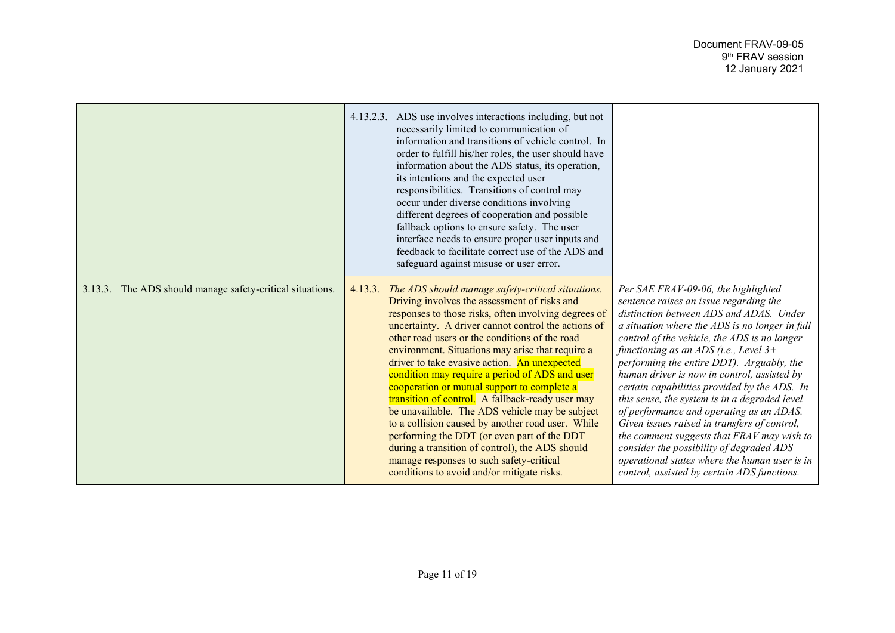|                                                           | 4.13.2.3. ADS use involves interactions including, but not<br>necessarily limited to communication of<br>information and transitions of vehicle control. In<br>order to fulfill his/her roles, the user should have<br>information about the ADS status, its operation,<br>its intentions and the expected user<br>responsibilities. Transitions of control may<br>occur under diverse conditions involving<br>different degrees of cooperation and possible<br>fallback options to ensure safety. The user<br>interface needs to ensure proper user inputs and<br>feedback to facilitate correct use of the ADS and<br>safeguard against misuse or user error.                                                                                                                                                                        |                                                                                                                                                                                                                                                                                                                                                                                                                                                                                                                                                                                                                                                                                                                                                          |
|-----------------------------------------------------------|----------------------------------------------------------------------------------------------------------------------------------------------------------------------------------------------------------------------------------------------------------------------------------------------------------------------------------------------------------------------------------------------------------------------------------------------------------------------------------------------------------------------------------------------------------------------------------------------------------------------------------------------------------------------------------------------------------------------------------------------------------------------------------------------------------------------------------------|----------------------------------------------------------------------------------------------------------------------------------------------------------------------------------------------------------------------------------------------------------------------------------------------------------------------------------------------------------------------------------------------------------------------------------------------------------------------------------------------------------------------------------------------------------------------------------------------------------------------------------------------------------------------------------------------------------------------------------------------------------|
| 3.13.3. The ADS should manage safety-critical situations. | 4.13.3. The ADS should manage safety-critical situations.<br>Driving involves the assessment of risks and<br>responses to those risks, often involving degrees of<br>uncertainty. A driver cannot control the actions of<br>other road users or the conditions of the road<br>environment. Situations may arise that require a<br>driver to take evasive action. An unexpected<br>condition may require a period of ADS and user<br>cooperation or mutual support to complete a<br>transition of control. A fallback-ready user may<br>be unavailable. The ADS vehicle may be subject<br>to a collision caused by another road user. While<br>performing the DDT (or even part of the DDT<br>during a transition of control), the ADS should<br>manage responses to such safety-critical<br>conditions to avoid and/or mitigate risks. | Per SAE FRAV-09-06, the highlighted<br>sentence raises an issue regarding the<br>distinction between ADS and ADAS. Under<br>a situation where the ADS is no longer in full<br>control of the vehicle, the ADS is no longer<br>functioning as an ADS (i.e., Level $3+$<br>performing the entire DDT). Arguably, the<br>human driver is now in control, assisted by<br>certain capabilities provided by the ADS. In<br>this sense, the system is in a degraded level<br>of performance and operating as an ADAS.<br>Given issues raised in transfers of control,<br>the comment suggests that FRAV may wish to<br>consider the possibility of degraded ADS<br>operational states where the human user is in<br>control, assisted by certain ADS functions. |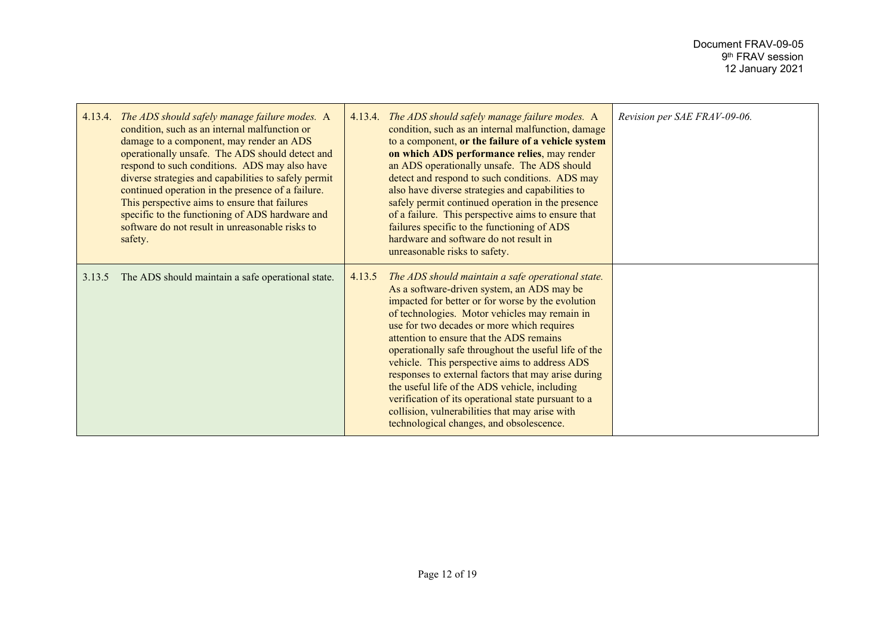| 4.13.4. | The ADS should safely manage failure modes. A<br>condition, such as an internal malfunction or<br>damage to a component, may render an ADS<br>operationally unsafe. The ADS should detect and<br>respond to such conditions. ADS may also have<br>diverse strategies and capabilities to safely permit<br>continued operation in the presence of a failure.<br>This perspective aims to ensure that failures<br>specific to the functioning of ADS hardware and<br>software do not result in unreasonable risks to<br>safety. |        | 4.13.4. The ADS should safely manage failure modes. A<br>condition, such as an internal malfunction, damage<br>to a component, or the failure of a vehicle system<br>on which ADS performance relies, may render<br>an ADS operationally unsafe. The ADS should<br>detect and respond to such conditions. ADS may<br>also have diverse strategies and capabilities to<br>safely permit continued operation in the presence<br>of a failure. This perspective aims to ensure that<br>failures specific to the functioning of ADS<br>hardware and software do not result in<br>unreasonable risks to safety.                                                            | Revision per SAE FRAV-09-06. |
|---------|-------------------------------------------------------------------------------------------------------------------------------------------------------------------------------------------------------------------------------------------------------------------------------------------------------------------------------------------------------------------------------------------------------------------------------------------------------------------------------------------------------------------------------|--------|-----------------------------------------------------------------------------------------------------------------------------------------------------------------------------------------------------------------------------------------------------------------------------------------------------------------------------------------------------------------------------------------------------------------------------------------------------------------------------------------------------------------------------------------------------------------------------------------------------------------------------------------------------------------------|------------------------------|
| 3.13.5  | The ADS should maintain a safe operational state.                                                                                                                                                                                                                                                                                                                                                                                                                                                                             | 4.13.5 | The ADS should maintain a safe operational state.<br>As a software-driven system, an ADS may be<br>impacted for better or for worse by the evolution<br>of technologies. Motor vehicles may remain in<br>use for two decades or more which requires<br>attention to ensure that the ADS remains<br>operationally safe throughout the useful life of the<br>vehicle. This perspective aims to address ADS<br>responses to external factors that may arise during<br>the useful life of the ADS vehicle, including<br>verification of its operational state pursuant to a<br>collision, vulnerabilities that may arise with<br>technological changes, and obsolescence. |                              |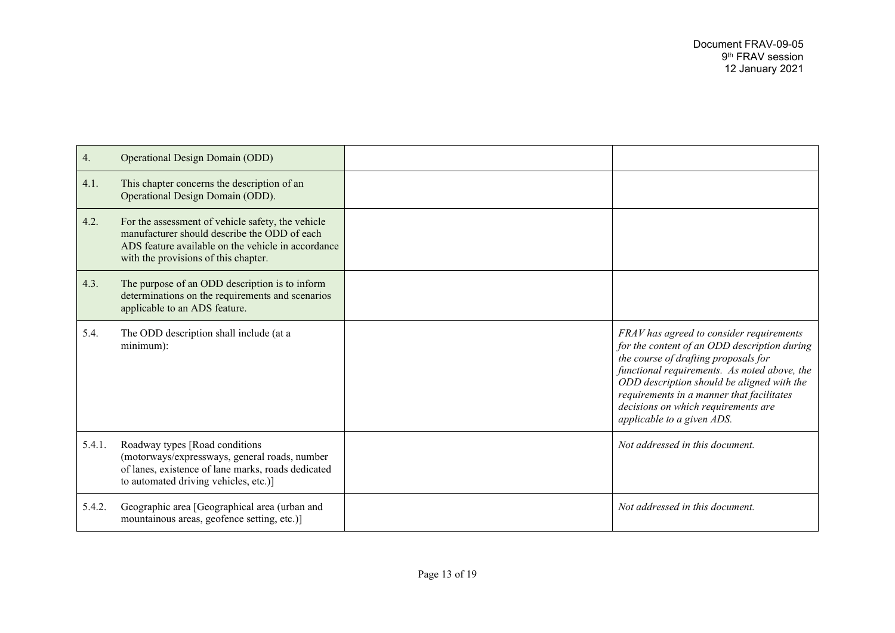| 4.     | <b>Operational Design Domain (ODD)</b>                                                                                                                                                          |                                                                                                                                                                                                                                                                                                                                                  |
|--------|-------------------------------------------------------------------------------------------------------------------------------------------------------------------------------------------------|--------------------------------------------------------------------------------------------------------------------------------------------------------------------------------------------------------------------------------------------------------------------------------------------------------------------------------------------------|
| 4.1.   | This chapter concerns the description of an<br>Operational Design Domain (ODD).                                                                                                                 |                                                                                                                                                                                                                                                                                                                                                  |
| 4.2.   | For the assessment of vehicle safety, the vehicle<br>manufacturer should describe the ODD of each<br>ADS feature available on the vehicle in accordance<br>with the provisions of this chapter. |                                                                                                                                                                                                                                                                                                                                                  |
| 4.3.   | The purpose of an ODD description is to inform<br>determinations on the requirements and scenarios<br>applicable to an ADS feature.                                                             |                                                                                                                                                                                                                                                                                                                                                  |
| 5.4.   | The ODD description shall include (at a<br>$minimum)$ :                                                                                                                                         | FRAV has agreed to consider requirements<br>for the content of an ODD description during<br>the course of drafting proposals for<br>functional requirements. As noted above, the<br>ODD description should be aligned with the<br>requirements in a manner that facilitates<br>decisions on which requirements are<br>applicable to a given ADS. |
| 5.4.1. | Roadway types [Road conditions<br>(motorways/expressways, general roads, number<br>of lanes, existence of lane marks, roads dedicated<br>to automated driving vehicles, etc.)]                  | Not addressed in this document.                                                                                                                                                                                                                                                                                                                  |
| 5.4.2. | Geographic area [Geographical area (urban and<br>mountainous areas, geofence setting, etc.)]                                                                                                    | Not addressed in this document.                                                                                                                                                                                                                                                                                                                  |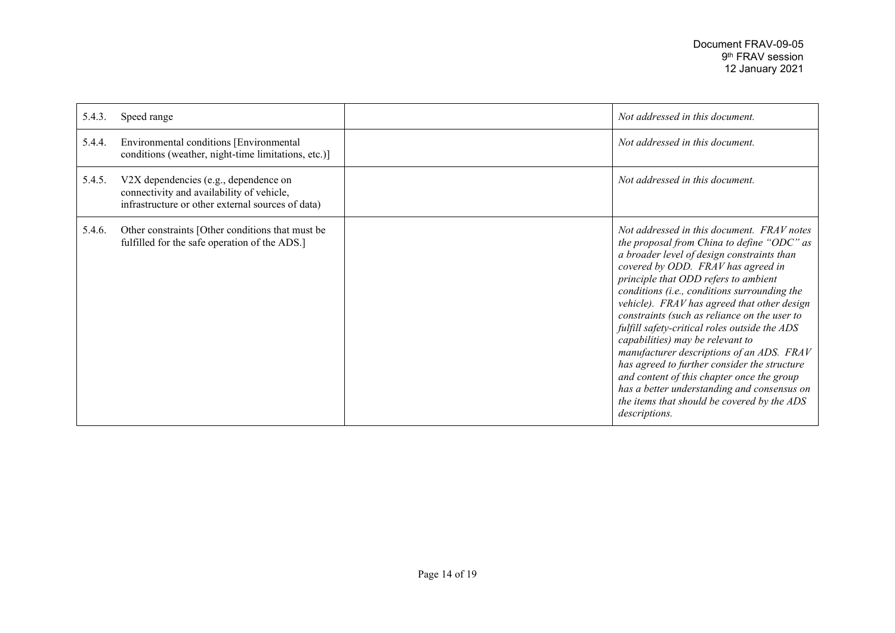| 5.4.3. | Speed range                                                                                                                             | Not addressed in this document.                                                                                                                                                                                                                                                                                                                                                                                                                                                                                                                                                                                                                                                                                    |
|--------|-----------------------------------------------------------------------------------------------------------------------------------------|--------------------------------------------------------------------------------------------------------------------------------------------------------------------------------------------------------------------------------------------------------------------------------------------------------------------------------------------------------------------------------------------------------------------------------------------------------------------------------------------------------------------------------------------------------------------------------------------------------------------------------------------------------------------------------------------------------------------|
| 5.4.4. | Environmental conditions [Environmental<br>conditions (weather, night-time limitations, etc.)]                                          | Not addressed in this document.                                                                                                                                                                                                                                                                                                                                                                                                                                                                                                                                                                                                                                                                                    |
| 5.4.5. | V2X dependencies (e.g., dependence on<br>connectivity and availability of vehicle,<br>infrastructure or other external sources of data) | Not addressed in this document.                                                                                                                                                                                                                                                                                                                                                                                                                                                                                                                                                                                                                                                                                    |
| 5.4.6. | Other constraints [Other conditions that must be<br>fulfilled for the safe operation of the ADS.]                                       | Not addressed in this document. FRAV notes<br>the proposal from China to define "ODC" as<br>a broader level of design constraints than<br>covered by ODD. FRAV has agreed in<br>principle that ODD refers to ambient<br>conditions (i.e., conditions surrounding the<br>vehicle). FRAV has agreed that other design<br>constraints (such as reliance on the user to<br>fulfill safety-critical roles outside the ADS<br>capabilities) may be relevant to<br>manufacturer descriptions of an ADS. FRAV<br>has agreed to further consider the structure<br>and content of this chapter once the group<br>has a better understanding and consensus on<br>the items that should be covered by the ADS<br>descriptions. |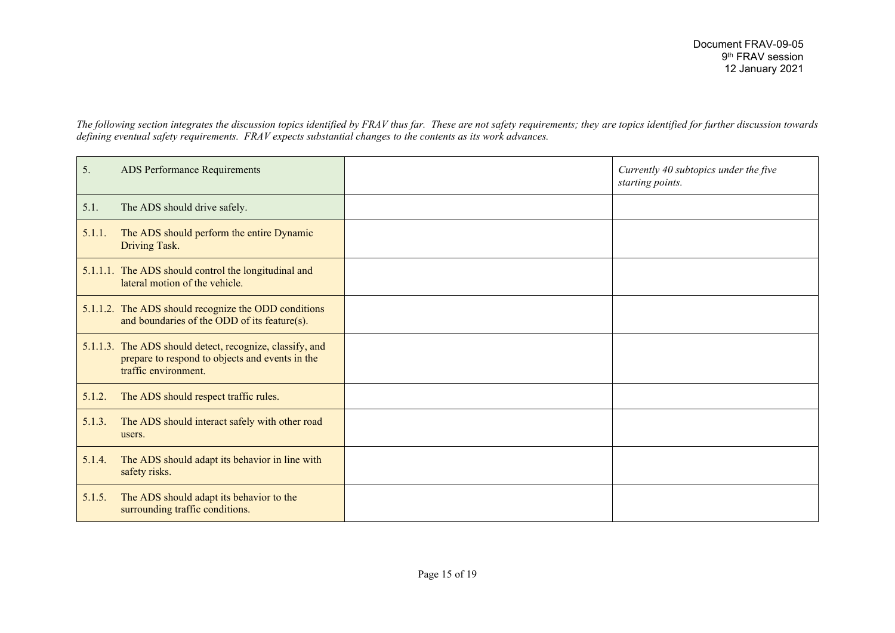*The following section integrates the discussion topics identified by FRAV thus far. These are not safety requirements; they are topics identified for further discussion towards defining eventual safety requirements. FRAV expects substantial changes to the contents as its work advances.*

| 5.     | ADS Performance Requirements                                                                                                        | Currently 40 subtopics under the five<br>starting points. |
|--------|-------------------------------------------------------------------------------------------------------------------------------------|-----------------------------------------------------------|
| 5.1.   | The ADS should drive safely.                                                                                                        |                                                           |
| 5.1.1. | The ADS should perform the entire Dynamic<br>Driving Task.                                                                          |                                                           |
|        | 5.1.1.1. The ADS should control the longitudinal and<br>lateral motion of the vehicle.                                              |                                                           |
|        | 5.1.1.2. The ADS should recognize the ODD conditions<br>and boundaries of the ODD of its feature(s).                                |                                                           |
|        | 5.1.1.3. The ADS should detect, recognize, classify, and<br>prepare to respond to objects and events in the<br>traffic environment. |                                                           |
| 5.1.2. | The ADS should respect traffic rules.                                                                                               |                                                           |
| 5.1.3. | The ADS should interact safely with other road<br>users.                                                                            |                                                           |
| 5.1.4. | The ADS should adapt its behavior in line with<br>safety risks.                                                                     |                                                           |
| 5.1.5. | The ADS should adapt its behavior to the<br>surrounding traffic conditions.                                                         |                                                           |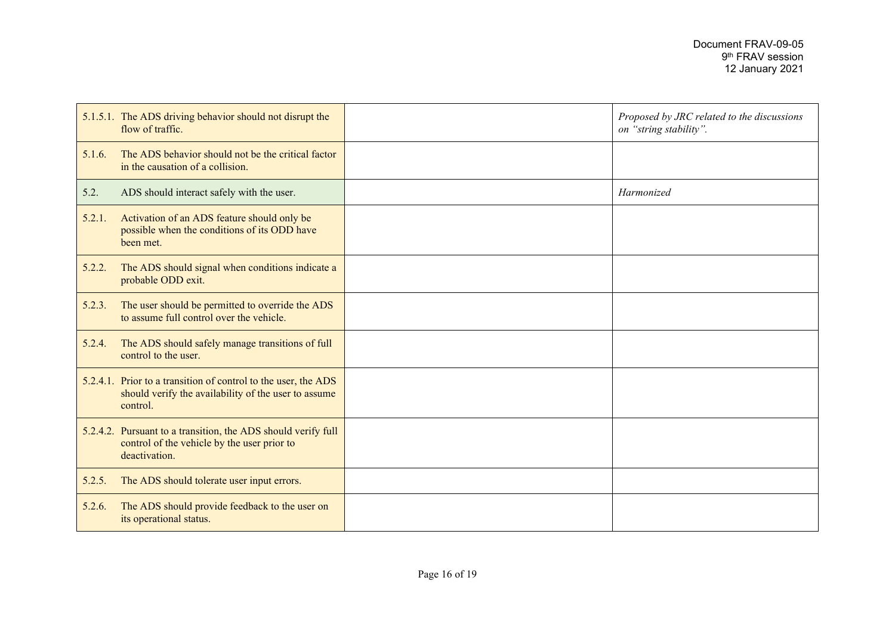|        | 5.1.5.1. The ADS driving behavior should not disrupt the<br>flow of traffic.                                                       | Proposed by JRC related to the discussions<br>on "string stability". |
|--------|------------------------------------------------------------------------------------------------------------------------------------|----------------------------------------------------------------------|
| 5.1.6. | The ADS behavior should not be the critical factor<br>in the causation of a collision.                                             |                                                                      |
| 5.2.   | ADS should interact safely with the user.                                                                                          | Harmonized                                                           |
| 5.2.1. | Activation of an ADS feature should only be<br>possible when the conditions of its ODD have<br>been met.                           |                                                                      |
| 5.2.2. | The ADS should signal when conditions indicate a<br>probable ODD exit.                                                             |                                                                      |
| 5.2.3. | The user should be permitted to override the ADS<br>to assume full control over the vehicle.                                       |                                                                      |
| 5.2.4. | The ADS should safely manage transitions of full<br>control to the user.                                                           |                                                                      |
|        | 5.2.4.1. Prior to a transition of control to the user, the ADS<br>should verify the availability of the user to assume<br>control. |                                                                      |
|        | 5.2.4.2. Pursuant to a transition, the ADS should verify full<br>control of the vehicle by the user prior to<br>deactivation.      |                                                                      |
| 5.2.5. | The ADS should tolerate user input errors.                                                                                         |                                                                      |
| 5.2.6. | The ADS should provide feedback to the user on<br>its operational status.                                                          |                                                                      |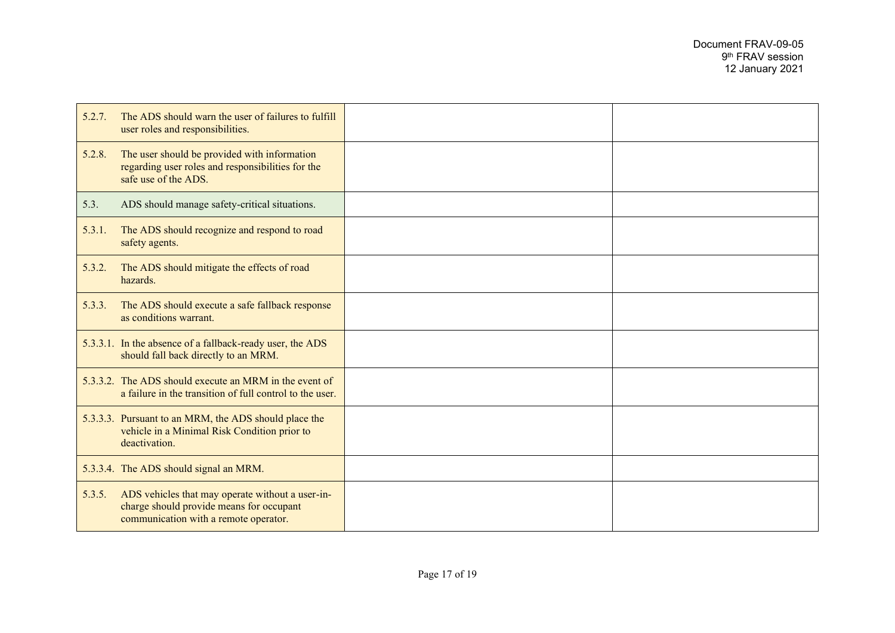| 5.2.7. | The ADS should warn the user of failures to fulfill<br>user roles and responsibilities.                                               |  |
|--------|---------------------------------------------------------------------------------------------------------------------------------------|--|
| 5.2.8. | The user should be provided with information<br>regarding user roles and responsibilities for the<br>safe use of the ADS.             |  |
| 5.3.   | ADS should manage safety-critical situations.                                                                                         |  |
| 5.3.1. | The ADS should recognize and respond to road<br>safety agents.                                                                        |  |
| 5.3.2. | The ADS should mitigate the effects of road<br>hazards.                                                                               |  |
| 5.3.3. | The ADS should execute a safe fallback response<br>as conditions warrant.                                                             |  |
|        | 5.3.3.1. In the absence of a fallback-ready user, the ADS<br>should fall back directly to an MRM.                                     |  |
|        | 5.3.3.2. The ADS should execute an MRM in the event of<br>a failure in the transition of full control to the user.                    |  |
|        | 5.3.3.3. Pursuant to an MRM, the ADS should place the<br>vehicle in a Minimal Risk Condition prior to<br>deactivation.                |  |
|        | 5.3.3.4. The ADS should signal an MRM.                                                                                                |  |
| 5.3.5. | ADS vehicles that may operate without a user-in-<br>charge should provide means for occupant<br>communication with a remote operator. |  |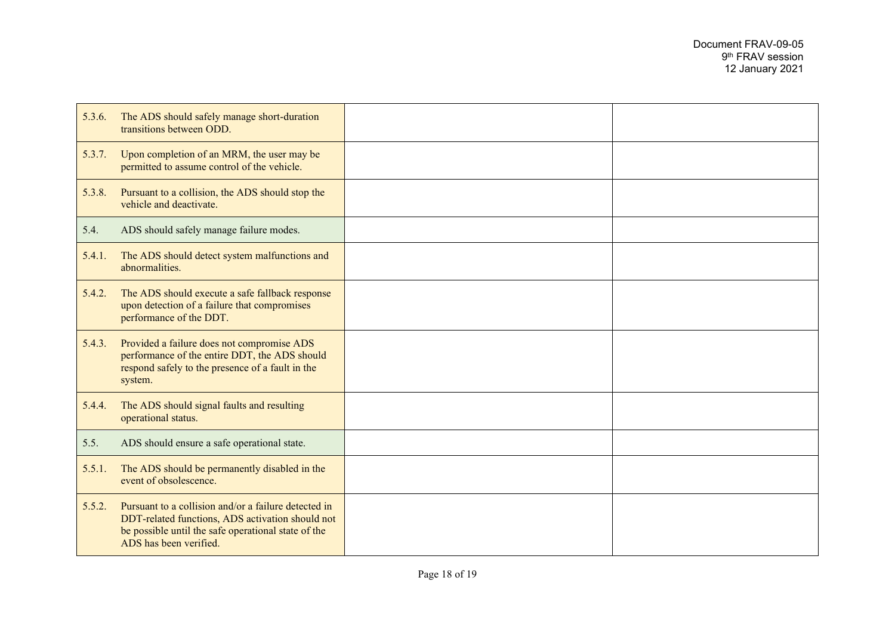| 5.3.6. | The ADS should safely manage short-duration<br>transitions between ODD.                                                                                                                   |  |
|--------|-------------------------------------------------------------------------------------------------------------------------------------------------------------------------------------------|--|
| 5.3.7. | Upon completion of an MRM, the user may be<br>permitted to assume control of the vehicle.                                                                                                 |  |
| 5.3.8. | Pursuant to a collision, the ADS should stop the<br>vehicle and deactivate.                                                                                                               |  |
| 5.4.   | ADS should safely manage failure modes.                                                                                                                                                   |  |
| 5.4.1. | The ADS should detect system malfunctions and<br>abnormalities.                                                                                                                           |  |
| 5.4.2. | The ADS should execute a safe fallback response<br>upon detection of a failure that compromises<br>performance of the DDT.                                                                |  |
| 5.4.3. | Provided a failure does not compromise ADS<br>performance of the entire DDT, the ADS should<br>respond safely to the presence of a fault in the<br>system.                                |  |
| 5.4.4. | The ADS should signal faults and resulting<br>operational status.                                                                                                                         |  |
| 5.5.   | ADS should ensure a safe operational state.                                                                                                                                               |  |
| 5.5.1. | The ADS should be permanently disabled in the<br>event of obsolescence.                                                                                                                   |  |
| 5.5.2. | Pursuant to a collision and/or a failure detected in<br>DDT-related functions, ADS activation should not<br>be possible until the safe operational state of the<br>ADS has been verified. |  |